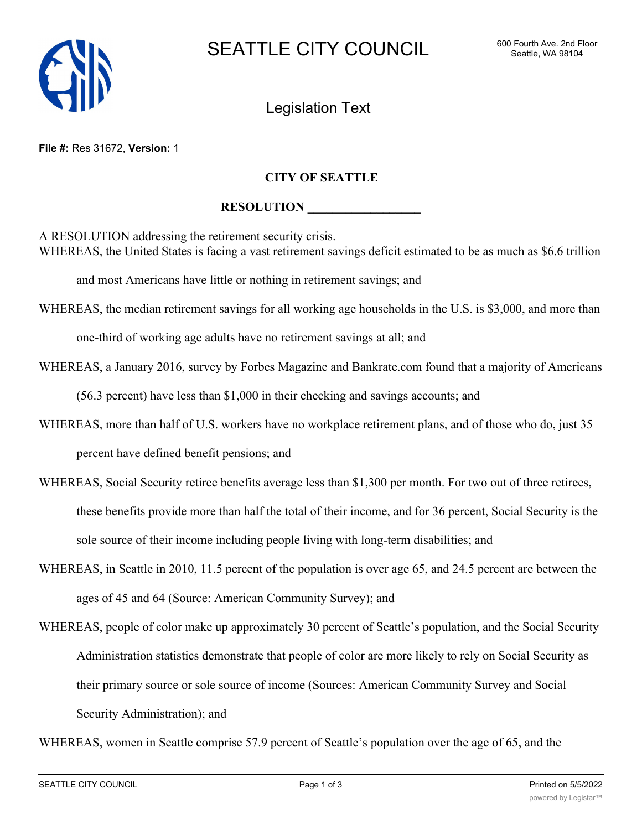

Legislation Text

#### **File #:** Res 31672, **Version:** 1

# **CITY OF SEATTLE**

## **RESOLUTION**

A RESOLUTION addressing the retirement security crisis. WHEREAS, the United States is facing a vast retirement savings deficit estimated to be as much as \$6.6 trillion

and most Americans have little or nothing in retirement savings; and

WHEREAS, the median retirement savings for all working age households in the U.S. is \$3,000, and more than one-third of working age adults have no retirement savings at all; and

WHEREAS, a January 2016, survey by Forbes Magazine and Bankrate.com found that a majority of Americans

(56.3 percent) have less than \$1,000 in their checking and savings accounts; and

- WHEREAS, more than half of U.S. workers have no workplace retirement plans, and of those who do, just 35 percent have defined benefit pensions; and
- WHEREAS, Social Security retiree benefits average less than \$1,300 per month. For two out of three retirees, these benefits provide more than half the total of their income, and for 36 percent, Social Security is the sole source of their income including people living with long-term disabilities; and
- WHEREAS, in Seattle in 2010, 11.5 percent of the population is over age 65, and 24.5 percent are between the ages of 45 and 64 (Source: American Community Survey); and
- WHEREAS, people of color make up approximately 30 percent of Seattle's population, and the Social Security Administration statistics demonstrate that people of color are more likely to rely on Social Security as their primary source or sole source of income (Sources: American Community Survey and Social Security Administration); and

WHEREAS, women in Seattle comprise 57.9 percent of Seattle's population over the age of 65, and the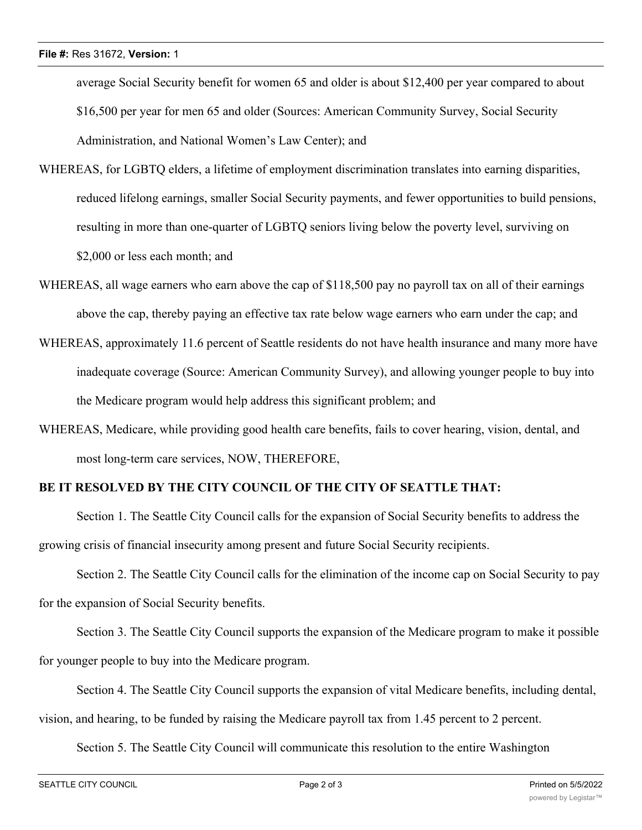average Social Security benefit for women 65 and older is about \$12,400 per year compared to about \$16,500 per year for men 65 and older (Sources: American Community Survey, Social Security Administration, and National Women's Law Center); and

- WHEREAS, for LGBTQ elders, a lifetime of employment discrimination translates into earning disparities, reduced lifelong earnings, smaller Social Security payments, and fewer opportunities to build pensions, resulting in more than one-quarter of LGBTQ seniors living below the poverty level, surviving on \$2,000 or less each month; and
- WHEREAS, all wage earners who earn above the cap of \$118,500 pay no payroll tax on all of their earnings above the cap, thereby paying an effective tax rate below wage earners who earn under the cap; and
- WHEREAS, approximately 11.6 percent of Seattle residents do not have health insurance and many more have inadequate coverage (Source: American Community Survey), and allowing younger people to buy into the Medicare program would help address this significant problem; and
- WHEREAS, Medicare, while providing good health care benefits, fails to cover hearing, vision, dental, and most long-term care services, NOW, THEREFORE,

# **BE IT RESOLVED BY THE CITY COUNCIL OF THE CITY OF SEATTLE THAT:**

Section 1. The Seattle City Council calls for the expansion of Social Security benefits to address the growing crisis of financial insecurity among present and future Social Security recipients.

Section 2. The Seattle City Council calls for the elimination of the income cap on Social Security to pay for the expansion of Social Security benefits.

Section 3. The Seattle City Council supports the expansion of the Medicare program to make it possible for younger people to buy into the Medicare program.

Section 4. The Seattle City Council supports the expansion of vital Medicare benefits, including dental,

vision, and hearing, to be funded by raising the Medicare payroll tax from 1.45 percent to 2 percent.

Section 5. The Seattle City Council will communicate this resolution to the entire Washington